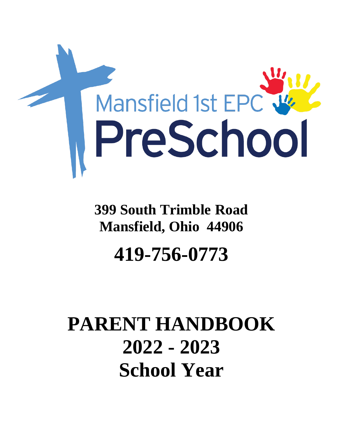

## **399 South Trimble Road Mansfield, Ohio 44906 419-756-0773**

# **PARENT HANDBOOK 2022 - 2023 School Year**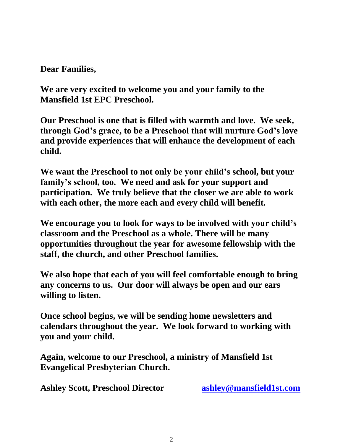**Dear Families,**

**We are very excited to welcome you and your family to the Mansfield 1st EPC Preschool.**

**Our Preschool is one that is filled with warmth and love. We seek, through God's grace, to be a Preschool that will nurture God's love and provide experiences that will enhance the development of each child.**

**We want the Preschool to not only be your child's school, but your family's school, too. We need and ask for your support and participation. We truly believe that the closer we are able to work with each other, the more each and every child will benefit.** 

**We encourage you to look for ways to be involved with your child's classroom and the Preschool as a whole. There will be many opportunities throughout the year for awesome fellowship with the staff, the church, and other Preschool families.** 

**We also hope that each of you will feel comfortable enough to bring any concerns to us. Our door will always be open and our ears willing to listen.**

**Once school begins, we will be sending home newsletters and calendars throughout the year. We look forward to working with you and your child.**

**Again, welcome to our Preschool, a ministry of Mansfield 1st Evangelical Presbyterian Church.** 

**Ashley Scott, Preschool Director [ashley@mansfield1st.com](mailto:ashley@mansfield1st.com)**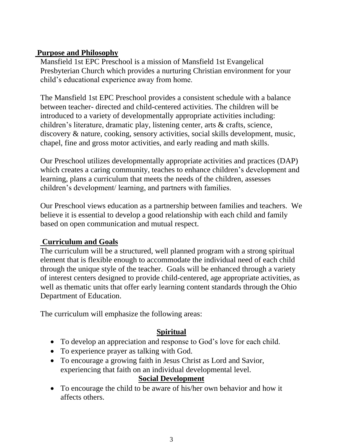#### **Purpose and Philosophy**

Mansfield 1st EPC Preschool is a mission of Mansfield 1st Evangelical Presbyterian Church which provides a nurturing Christian environment for your child's educational experience away from home.

The Mansfield 1st EPC Preschool provides a consistent schedule with a balance between teacher- directed and child-centered activities. The children will be introduced to a variety of developmentally appropriate activities including: children's literature, dramatic play, listening center, arts & crafts, science, discovery & nature, cooking, sensory activities, social skills development, music, chapel, fine and gross motor activities, and early reading and math skills.

Our Preschool utilizes developmentally appropriate activities and practices (DAP) which creates a caring community, teaches to enhance children's development and learning, plans a curriculum that meets the needs of the children, assesses children's development/ learning, and partners with families.

Our Preschool views education as a partnership between families and teachers. We believe it is essential to develop a good relationship with each child and family based on open communication and mutual respect.

#### **Curriculum and Goals**

The curriculum will be a structured, well planned program with a strong spiritual element that is flexible enough to accommodate the individual need of each child through the unique style of the teacher. Goals will be enhanced through a variety of interest centers designed to provide child-centered, age appropriate activities, as well as thematic units that offer early learning content standards through the Ohio Department of Education.

The curriculum will emphasize the following areas:

#### **Spiritual**

- To develop an appreciation and response to God's love for each child.
- To experience prayer as talking with God.
- To encourage a growing faith in Jesus Christ as Lord and Savior, experiencing that faith on an individual developmental level.

#### **Social Development**

• To encourage the child to be aware of his/her own behavior and how it affects others.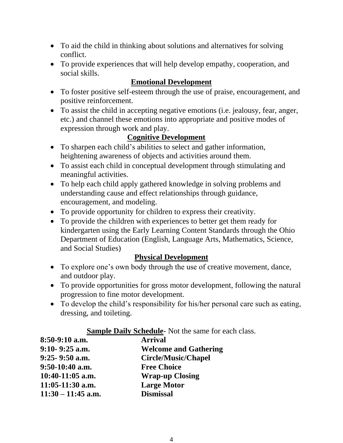- To aid the child in thinking about solutions and alternatives for solving conflict.
- To provide experiences that will help develop empathy, cooperation, and social skills.

### **Emotional Development**

- To foster positive self-esteem through the use of praise, encouragement, and positive reinforcement.
- To assist the child in accepting negative emotions (i.e. jealousy, fear, anger, etc.) and channel these emotions into appropriate and positive modes of expression through work and play.

### **Cognitive Development**

- To sharpen each child's abilities to select and gather information, heightening awareness of objects and activities around them.
- To assist each child in conceptual development through stimulating and meaningful activities.
- To help each child apply gathered knowledge in solving problems and understanding cause and effect relationships through guidance, encouragement, and modeling.
- To provide opportunity for children to express their creativity.
- To provide the children with experiences to better get them ready for kindergarten using the Early Learning Content Standards through the Ohio Department of Education (English, Language Arts, Mathematics, Science, and Social Studies)

#### **Physical Development**

- To explore one's own body through the use of creative movement, dance, and outdoor play.
- To provide opportunities for gross motor development, following the natural progression to fine motor development.
- To develop the child's responsibility for his/her personal care such as eating, dressing, and toileting.

#### **Sample Daily Schedule**- Not the same for each class.

| 8:50-9:10 a.m.       | <b>Arrival</b>               |
|----------------------|------------------------------|
| $9:10 - 9:25$ a.m.   | <b>Welcome and Gathering</b> |
| $9:25 - 9:50$ a.m.   | <b>Circle/Music/Chapel</b>   |
| $9:50-10:40$ a.m.    | <b>Free Choice</b>           |
| $10:40-11:05$ a.m.   | <b>Wrap-up Closing</b>       |
| $11:05-11:30$ a.m.   | <b>Large Motor</b>           |
| $11:30 - 11:45$ a.m. | <b>Dismissal</b>             |
|                      |                              |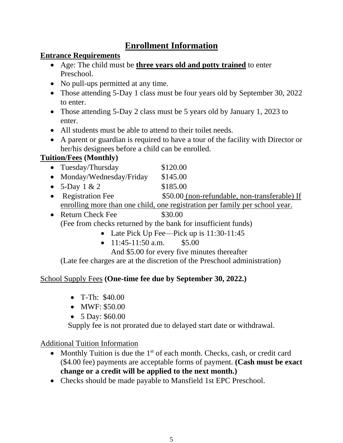## **Enrollment Information**

#### **Entrance Requirements**

- Age: The child must be **three years old and potty trained** to enter Preschool.
- No pull-ups permitted at any time.
- Those attending 5-Day 1 class must be four years old by September 30, 2022 to enter.
- Those attending 5-Day 2 class must be 5 years old by January 1, 2023 to enter.
- All students must be able to attend to their toilet needs.
- A parent or guardian is required to have a tour of the facility with Director or her/his designees before a child can be enrolled.

## **Tuition/Fees (Monthly)**

- Tuesday/Thursday \$120.00
- Monday/Wednesday/Friday \$145.00
- $5-Day \ 1 \ \& \ 2 \qquad \qquad$  \$185.00
- Registration Fee  $$50.00$  (non-refundable, non-transferable) If enrolling more than one child, one registration per family per school year.
- Return Check Fee \$30.00 (Fee from checks returned by the bank for insufficient funds)
	- Late Pick Up Fee—Pick up is 11:30-11:45
	- $11:45-11:50$  a.m. \$5.00

And \$5.00 for every five minutes thereafter

(Late fee charges are at the discretion of the Preschool administration)

## School Supply Fees **(One-time fee due by September 30, 2022.)**

- T-Th: \$40.00
- MWF: \$50.00
- 5 Day: \$60.00

Supply fee is not prorated due to delayed start date or withdrawal.

## Additional Tuition Information

- Monthly Tuition is due the  $1<sup>st</sup>$  of each month. Checks, cash, or credit card (\$4.00 fee) payments are acceptable forms of payment. **(Cash must be exact change or a credit will be applied to the next month.)**
- Checks should be made payable to Mansfield 1st EPC Preschool.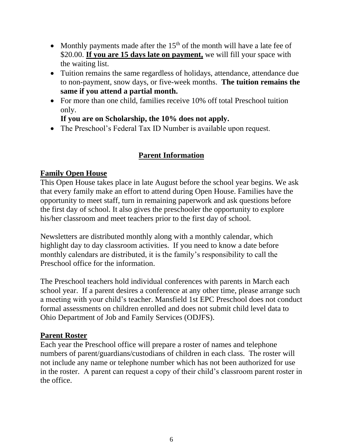- Monthly payments made after the  $15<sup>th</sup>$  of the month will have a late fee of \$20.00. **If you are 15 days late on payment,** we will fill your space with the waiting list.
- Tuition remains the same regardless of holidays, attendance, attendance due to non-payment, snow days, or five-week months. **The tuition remains the same if you attend a partial month.**
- For more than one child, families receive 10% off total Preschool tuition only.

#### **If you are on Scholarship, the 10% does not apply.**

• The Preschool's Federal Tax ID Number is available upon request.

#### **Parent Information**

#### **Family Open House**

This Open House takes place in late August before the school year begins. We ask that every family make an effort to attend during Open House. Families have the opportunity to meet staff, turn in remaining paperwork and ask questions before the first day of school. It also gives the preschooler the opportunity to explore his/her classroom and meet teachers prior to the first day of school.

Newsletters are distributed monthly along with a monthly calendar, which highlight day to day classroom activities. If you need to know a date before monthly calendars are distributed, it is the family's responsibility to call the Preschool office for the information.

The Preschool teachers hold individual conferences with parents in March each school year. If a parent desires a conference at any other time, please arrange such a meeting with your child's teacher. Mansfield 1st EPC Preschool does not conduct formal assessments on children enrolled and does not submit child level data to Ohio Department of Job and Family Services (ODJFS).

#### **Parent Roster**

Each year the Preschool office will prepare a roster of names and telephone numbers of parent/guardians/custodians of children in each class. The roster will not include any name or telephone number which has not been authorized for use in the roster. A parent can request a copy of their child's classroom parent roster in the office.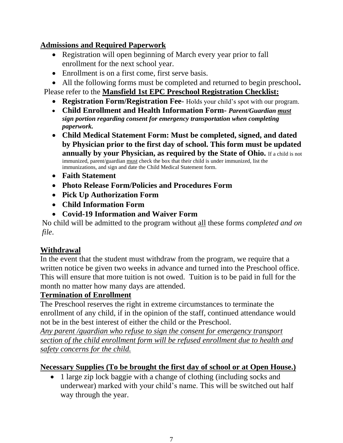#### **Admissions and Required Paperwork**

- Registration will open beginning of March every year prior to fall enrollment for the next school year.
- Enrollment is on a first come, first serve basis.

• All the following forms must be completed and returned to begin preschool**.**

Please refer to the **Mansfield 1st EPC Preschool Registration Checklist:**

- **Registration Form/Registration Fee** Holds your child's spot with our program.
- **Child Enrollment and Health Information Form-** *Parent/Guardian must sign portion regarding consent for emergency transportation when completing paperwork.*
- **Child Medical Statement Form: Must be completed, signed, and dated by Physician prior to the first day of school. This form must be updated annually by your Physician, as required by the State of Ohio.** If a child is not immunized, parent/guardian must check the box that their child is under immunized, list the immunizations, and sign and date the Child Medical Statement form.
- **Faith Statement**
- **Photo Release Form/Policies and Procedures Form**
- **Pick Up Authorization Form**
- **Child Information Form**
- **Covid-19 Information and Waiver Form**

No child will be admitted to the program without all these forms *completed and on file*.

## **Withdrawal**

In the event that the student must withdraw from the program, we require that a written notice be given two weeks in advance and turned into the Preschool office. This will ensure that more tuition is not owed. Tuition is to be paid in full for the month no matter how many days are attended.

## **Termination of Enrollment**

The Preschool reserves the right in extreme circumstances to terminate the enrollment of any child, if in the opinion of the staff, continued attendance would not be in the best interest of either the child or the Preschool.

*Any parent /guardian who refuse to sign the consent for emergency transport section of the child enrollment form will be refused enrollment due to health and safety concerns for the child.*

## **Necessary Supplies (To be brought the first day of school or at Open House.)**

• 1 large zip lock baggie with a change of clothing (including socks and underwear) marked with your child's name. This will be switched out half way through the year.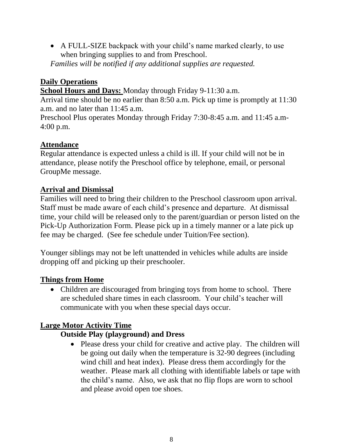• A FULL-SIZE backpack with your child's name marked clearly, to use when bringing supplies to and from Preschool.

*Families will be notified if any additional supplies are requested.* 

## **Daily Operations**

**School Hours and Days:** Monday through Friday 9-11:30 a.m.

Arrival time should be no earlier than 8:50 a.m. Pick up time is promptly at 11:30 a.m. and no later than 11:45 a.m.

Preschool Plus operates Monday through Friday 7:30-8:45 a.m. and 11:45 a.m-4:00 p.m.

## **Attendance**

Regular attendance is expected unless a child is ill. If your child will not be in attendance, please notify the Preschool office by telephone, email, or personal GroupMe message.

## **Arrival and Dismissal**

Families will need to bring their children to the Preschool classroom upon arrival. Staff must be made aware of each child's presence and departure. At dismissal time, your child will be released only to the parent/guardian or person listed on the Pick-Up Authorization Form. Please pick up in a timely manner or a late pick up fee may be charged. (See fee schedule under Tuition/Fee section).

Younger siblings may not be left unattended in vehicles while adults are inside dropping off and picking up their preschooler.

## **Things from Home**

• Children are discouraged from bringing toys from home to school. There are scheduled share times in each classroom. Your child's teacher will communicate with you when these special days occur.

## **Large Motor Activity Time**

## **Outside Play (playground) and Dress**

• Please dress your child for creative and active play. The children will be going out daily when the temperature is 32-90 degrees (including wind chill and heat index). Please dress them accordingly for the weather. Please mark all clothing with identifiable labels or tape with the child's name. Also, we ask that no flip flops are worn to school and please avoid open toe shoes.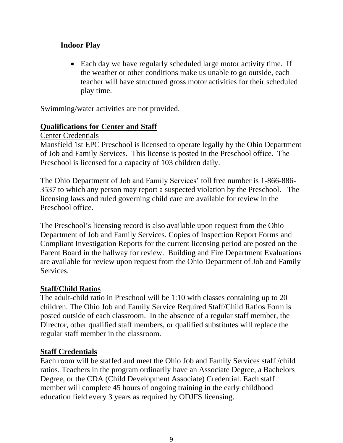#### **Indoor Play**

• Each day we have regularly scheduled large motor activity time. If the weather or other conditions make us unable to go outside, each teacher will have structured gross motor activities for their scheduled play time.

Swimming/water activities are not provided.

#### **Qualifications for Center and Staff**

Center Credentials

Mansfield 1st EPC Preschool is licensed to operate legally by the Ohio Department of Job and Family Services. This license is posted in the Preschool office. The Preschool is licensed for a capacity of 103 children daily.

The Ohio Department of Job and Family Services' toll free number is 1-866-886- 3537 to which any person may report a suspected violation by the Preschool. The licensing laws and ruled governing child care are available for review in the Preschool office.

The Preschool's licensing record is also available upon request from the Ohio Department of Job and Family Services. Copies of Inspection Report Forms and Compliant Investigation Reports for the current licensing period are posted on the Parent Board in the hallway for review. Building and Fire Department Evaluations are available for review upon request from the Ohio Department of Job and Family Services.

#### **Staff/Child Ratios**

The adult-child ratio in Preschool will be 1:10 with classes containing up to 20 children. The Ohio Job and Family Service Required Staff/Child Ratios Form is posted outside of each classroom. In the absence of a regular staff member, the Director, other qualified staff members, or qualified substitutes will replace the regular staff member in the classroom.

#### **Staff Credentials**

Each room will be staffed and meet the Ohio Job and Family Services staff /child ratios. Teachers in the program ordinarily have an Associate Degree, a Bachelors Degree, or the CDA (Child Development Associate) Credential. Each staff member will complete 45 hours of ongoing training in the early childhood education field every 3 years as required by ODJFS licensing.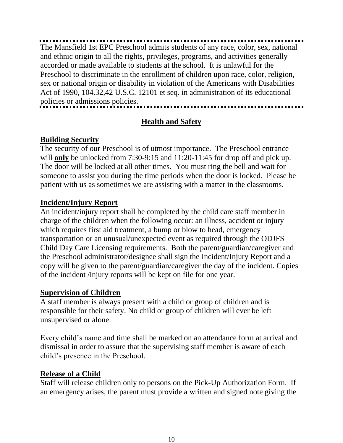The Mansfield 1st EPC Preschool admits students of any race, color, sex, national and ethnic origin to all the rights, privileges, programs, and activities generally accorded or made available to students at the school. It is unlawful for the Preschool to discriminate in the enrollment of children upon race, color, religion, sex or national origin or disability in violation of the Americans with Disabilities Act of 1990, 104.32,42 U.S.C. 12101 et seq. in administration of its educational policies or admissions policies. ................................

#### **Health and Safety**

#### **Building Security**

The security of our Preschool is of utmost importance. The Preschool entrance will **only** be unlocked from 7:30-9:15 and 11:20-11:45 for drop off and pick up. The door will be locked at all other times. You must ring the bell and wait for someone to assist you during the time periods when the door is locked. Please be patient with us as sometimes we are assisting with a matter in the classrooms.

#### **Incident/Injury Report**

An incident/injury report shall be completed by the child care staff member in charge of the children when the following occur: an illness, accident or injury which requires first aid treatment, a bump or blow to head, emergency transportation or an unusual/unexpected event as required through the ODJFS Child Day Care Licensing requirements. Both the parent/guardian/caregiver and the Preschool administrator/designee shall sign the Incident/Injury Report and a copy will be given to the parent/guardian/caregiver the day of the incident. Copies of the incident /injury reports will be kept on file for one year.

#### **Supervision of Children**

A staff member is always present with a child or group of children and is responsible for their safety. No child or group of children will ever be left unsupervised or alone.

Every child's name and time shall be marked on an attendance form at arrival and dismissal in order to assure that the supervising staff member is aware of each child's presence in the Preschool.

#### **Release of a Child**

Staff will release children only to persons on the Pick-Up Authorization Form. If an emergency arises, the parent must provide a written and signed note giving the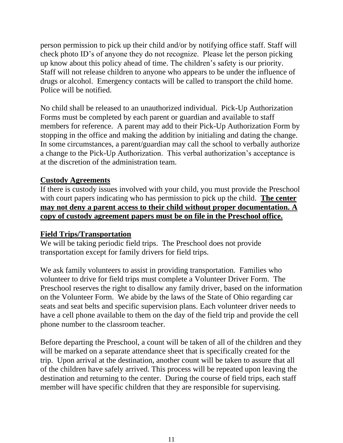person permission to pick up their child and/or by notifying office staff. Staff will check photo ID's of anyone they do not recognize. Please let the person picking up know about this policy ahead of time. The children's safety is our priority. Staff will not release children to anyone who appears to be under the influence of drugs or alcohol. Emergency contacts will be called to transport the child home. Police will be notified.

No child shall be released to an unauthorized individual. Pick-Up Authorization Forms must be completed by each parent or guardian and available to staff members for reference. A parent may add to their Pick-Up Authorization Form by stopping in the office and making the addition by initialing and dating the change. In some circumstances, a parent/guardian may call the school to verbally authorize a change to the Pick-Up Authorization. This verbal authorization's acceptance is at the discretion of the administration team.

#### **Custody Agreements**

If there is custody issues involved with your child, you must provide the Preschool with court papers indicating who has permission to pick up the child. **The center may not deny a parent access to their child without proper documentation. A copy of custody agreement papers must be on file in the Preschool office.**

#### **Field Trips/Transportation**

We will be taking periodic field trips. The Preschool does not provide transportation except for family drivers for field trips.

We ask family volunteers to assist in providing transportation. Families who volunteer to drive for field trips must complete a Volunteer Driver Form. The Preschool reserves the right to disallow any family driver, based on the information on the Volunteer Form. We abide by the laws of the State of Ohio regarding car seats and seat belts and specific supervision plans. Each volunteer driver needs to have a cell phone available to them on the day of the field trip and provide the cell phone number to the classroom teacher.

Before departing the Preschool, a count will be taken of all of the children and they will be marked on a separate attendance sheet that is specifically created for the trip. Upon arrival at the destination, another count will be taken to assure that all of the children have safely arrived. This process will be repeated upon leaving the destination and returning to the center. During the course of field trips, each staff member will have specific children that they are responsible for supervising.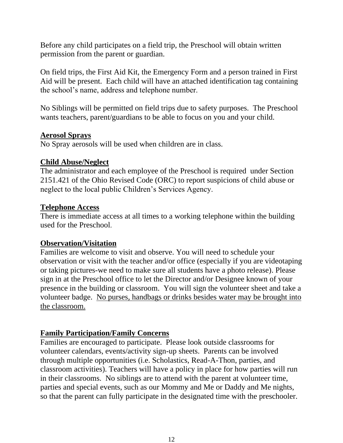Before any child participates on a field trip, the Preschool will obtain written permission from the parent or guardian.

On field trips, the First Aid Kit, the Emergency Form and a person trained in First Aid will be present. Each child will have an attached identification tag containing the school's name, address and telephone number.

No Siblings will be permitted on field trips due to safety purposes. The Preschool wants teachers, parent/guardians to be able to focus on you and your child.

#### **Aerosol Sprays**

No Spray aerosols will be used when children are in class.

#### **Child Abuse/Neglect**

The administrator and each employee of the Preschool is required under Section 2151.421 of the Ohio Revised Code (ORC) to report suspicions of child abuse or neglect to the local public Children's Services Agency.

#### **Telephone Access**

There is immediate access at all times to a working telephone within the building used for the Preschool.

#### **Observation/Visitation**

Families are welcome to visit and observe. You will need to schedule your observation or visit with the teacher and/or office (especially if you are videotaping or taking pictures-we need to make sure all students have a photo release). Please sign in at the Preschool office to let the Director and/or Designee known of your presence in the building or classroom. You will sign the volunteer sheet and take a volunteer badge. No purses, handbags or drinks besides water may be brought into the classroom.

#### **Family Participation/Family Concerns**

Families are encouraged to participate. Please look outside classrooms for volunteer calendars, events/activity sign-up sheets. Parents can be involved through multiple opportunities (i.e. Scholastics, Read-A-Thon, parties, and classroom activities). Teachers will have a policy in place for how parties will run in their classrooms. No siblings are to attend with the parent at volunteer time, parties and special events, such as our Mommy and Me or Daddy and Me nights, so that the parent can fully participate in the designated time with the preschooler.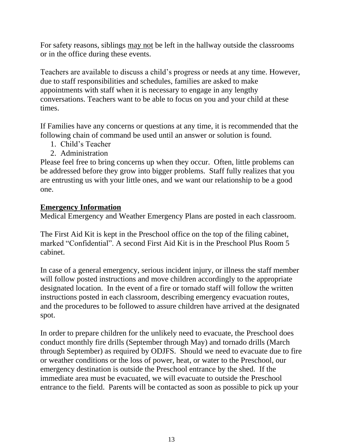For safety reasons, siblings may not be left in the hallway outside the classrooms or in the office during these events.

Teachers are available to discuss a child's progress or needs at any time. However, due to staff responsibilities and schedules, families are asked to make appointments with staff when it is necessary to engage in any lengthy conversations. Teachers want to be able to focus on you and your child at these times.

If Families have any concerns or questions at any time, it is recommended that the following chain of command be used until an answer or solution is found.

- 1. Child's Teacher
- 2. Administration

Please feel free to bring concerns up when they occur. Often, little problems can be addressed before they grow into bigger problems. Staff fully realizes that you are entrusting us with your little ones, and we want our relationship to be a good one.

#### **Emergency Information**

Medical Emergency and Weather Emergency Plans are posted in each classroom.

The First Aid Kit is kept in the Preschool office on the top of the filing cabinet, marked "Confidential". A second First Aid Kit is in the Preschool Plus Room 5 cabinet.

In case of a general emergency, serious incident injury, or illness the staff member will follow posted instructions and move children accordingly to the appropriate designated location. In the event of a fire or tornado staff will follow the written instructions posted in each classroom, describing emergency evacuation routes, and the procedures to be followed to assure children have arrived at the designated spot.

In order to prepare children for the unlikely need to evacuate, the Preschool does conduct monthly fire drills (September through May) and tornado drills (March through September) as required by ODJFS. Should we need to evacuate due to fire or weather conditions or the loss of power, heat, or water to the Preschool, our emergency destination is outside the Preschool entrance by the shed. If the immediate area must be evacuated, we will evacuate to outside the Preschool entrance to the field. Parents will be contacted as soon as possible to pick up your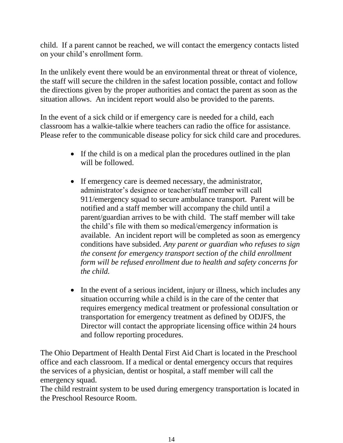child. If a parent cannot be reached, we will contact the emergency contacts listed on your child's enrollment form.

In the unlikely event there would be an environmental threat or threat of violence, the staff will secure the children in the safest location possible, contact and follow the directions given by the proper authorities and contact the parent as soon as the situation allows. An incident report would also be provided to the parents.

In the event of a sick child or if emergency care is needed for a child, each classroom has a walkie-talkie where teachers can radio the office for assistance. Please refer to the communicable disease policy for sick child care and procedures.

- If the child is on a medical plan the procedures outlined in the plan will be followed.
- If emergency care is deemed necessary, the administrator, administrator's designee or teacher/staff member will call 911/emergency squad to secure ambulance transport. Parent will be notified and a staff member will accompany the child until a parent/guardian arrives to be with child. The staff member will take the child's file with them so medical/emergency information is available. An incident report will be completed as soon as emergency conditions have subsided. *Any parent or guardian who refuses to sign the consent for emergency transport section of the child enrollment form will be refused enrollment due to health and safety concerns for the child.*
- In the event of a serious incident, injury or illness, which includes any situation occurring while a child is in the care of the center that requires emergency medical treatment or professional consultation or transportation for emergency treatment as defined by ODJFS, the Director will contact the appropriate licensing office within 24 hours and follow reporting procedures.

The Ohio Department of Health Dental First Aid Chart is located in the Preschool office and each classroom. If a medical or dental emergency occurs that requires the services of a physician, dentist or hospital, a staff member will call the emergency squad.

The child restraint system to be used during emergency transportation is located in the Preschool Resource Room.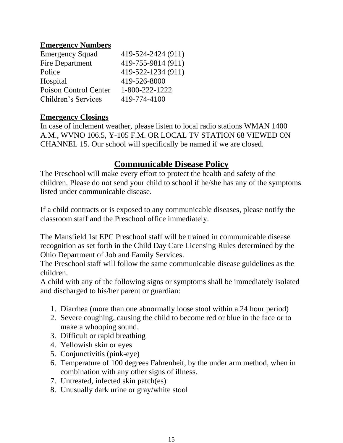#### **Emergency Numbers**

| <b>Emergency Squad</b> | 419-524-2424 (911) |
|------------------------|--------------------|
| Fire Department        | 419-755-9814 (911) |
| Police                 | 419-522-1234 (911) |
| Hospital               | 419-526-8000       |
| Poison Control Center  | 1-800-222-1222     |
| Children's Services    | 419-774-4100       |

#### **Emergency Closings**

In case of inclement weather, please listen to local radio stations WMAN 1400 A.M., WVNO 106.5, Y-105 F.M. OR LOCAL TV STATION 68 VIEWED ON CHANNEL 15. Our school will specifically be named if we are closed.

## **Communicable Disease Policy**

The Preschool will make every effort to protect the health and safety of the children. Please do not send your child to school if he/she has any of the symptoms listed under communicable disease.

If a child contracts or is exposed to any communicable diseases, please notify the classroom staff and the Preschool office immediately.

The Mansfield 1st EPC Preschool staff will be trained in communicable disease recognition as set forth in the Child Day Care Licensing Rules determined by the Ohio Department of Job and Family Services.

The Preschool staff will follow the same communicable disease guidelines as the children.

A child with any of the following signs or symptoms shall be immediately isolated and discharged to his/her parent or guardian:

- 1. Diarrhea (more than one abnormally loose stool within a 24 hour period)
- 2. Severe coughing, causing the child to become red or blue in the face or to make a whooping sound.
- 3. Difficult or rapid breathing
- 4. Yellowish skin or eyes
- 5. Conjunctivitis (pink-eye)
- 6. Temperature of 100 degrees Fahrenheit, by the under arm method, when in combination with any other signs of illness.
- 7. Untreated, infected skin patch(es)
- 8. Unusually dark urine or gray/white stool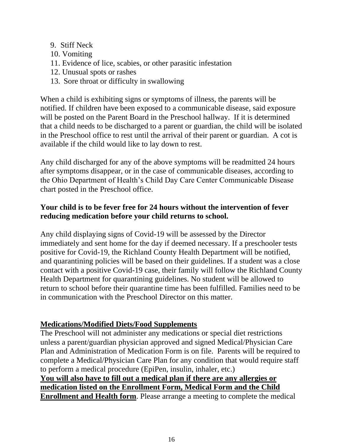- 9. Stiff Neck
- 10. Vomiting
- 11. Evidence of lice, scabies, or other parasitic infestation
- 12. Unusual spots or rashes
- 13. Sore throat or difficulty in swallowing

When a child is exhibiting signs or symptoms of illness, the parents will be notified. If children have been exposed to a communicable disease, said exposure will be posted on the Parent Board in the Preschool hallway. If it is determined that a child needs to be discharged to a parent or guardian, the child will be isolated in the Preschool office to rest until the arrival of their parent or guardian. A cot is available if the child would like to lay down to rest.

Any child discharged for any of the above symptoms will be readmitted 24 hours after symptoms disappear, or in the case of communicable diseases, according to the Ohio Department of Health's Child Day Care Center Communicable Disease chart posted in the Preschool office.

#### **Your child is to be fever free for 24 hours without the intervention of fever reducing medication before your child returns to school.**

Any child displaying signs of Covid-19 will be assessed by the Director immediately and sent home for the day if deemed necessary. If a preschooler tests positive for Covid-19, the Richland County Health Department will be notified, and quarantining policies will be based on their guidelines. If a student was a close contact with a positive Covid-19 case, their family will follow the Richland County Health Department for quarantining guidelines. No student will be allowed to return to school before their quarantine time has been fulfilled. Families need to be in communication with the Preschool Director on this matter.

## **Medications/Modified Diets/Food Supplements**

The Preschool will not administer any medications or special diet restrictions unless a parent/guardian physician approved and signed Medical/Physician Care Plan and Administration of Medication Form is on file. Parents will be required to complete a Medical/Physician Care Plan for any condition that would require staff to perform a medical procedure (EpiPen, insulin, inhaler, etc.)

**You will also have to fill out a medical plan if there are any allergies or medication listed on the Enrollment Form, Medical Form and the Child Enrollment and Health form**. Please arrange a meeting to complete the medical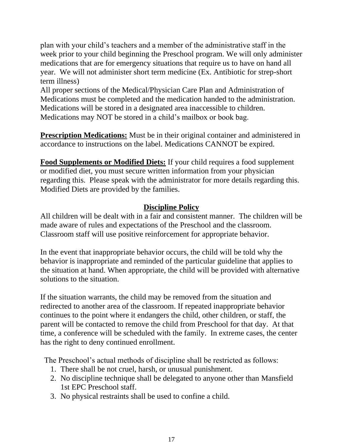plan with your child's teachers and a member of the administrative staff in the week prior to your child beginning the Preschool program. We will only administer medications that are for emergency situations that require us to have on hand all year. We will not administer short term medicine (Ex. Antibiotic for strep-short term illness)

All proper sections of the Medical/Physician Care Plan and Administration of Medications must be completed and the medication handed to the administration. Medications will be stored in a designated area inaccessible to children. Medications may NOT be stored in a child's mailbox or book bag.

**Prescription Medications:** Must be in their original container and administered in accordance to instructions on the label. Medications CANNOT be expired.

**Food Supplements or Modified Diets:** If your child requires a food supplement or modified diet, you must secure written information from your physician regarding this. Please speak with the administrator for more details regarding this. Modified Diets are provided by the families.

#### **Discipline Policy**

All children will be dealt with in a fair and consistent manner. The children will be made aware of rules and expectations of the Preschool and the classroom. Classroom staff will use positive reinforcement for appropriate behavior.

In the event that inappropriate behavior occurs, the child will be told why the behavior is inappropriate and reminded of the particular guideline that applies to the situation at hand. When appropriate, the child will be provided with alternative solutions to the situation.

If the situation warrants, the child may be removed from the situation and redirected to another area of the classroom. If repeated inappropriate behavior continues to the point where it endangers the child, other children, or staff, the parent will be contacted to remove the child from Preschool for that day. At that time, a conference will be scheduled with the family. In extreme cases, the center has the right to deny continued enrollment.

The Preschool's actual methods of discipline shall be restricted as follows:

- 1. There shall be not cruel, harsh, or unusual punishment.
- 2. No discipline technique shall be delegated to anyone other than Mansfield 1st EPC Preschool staff.
- 3. No physical restraints shall be used to confine a child.